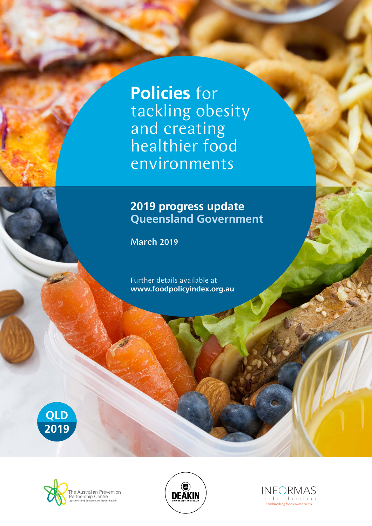**Policies** for tackling obesity and creating healthier food environments

## **2019 progress update Queensland Government**

March 2019

Further details available at **www.foodpolicyindex.org.au**







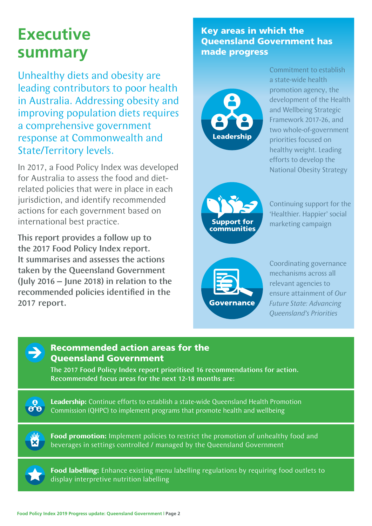# **Executive summary**

Unhealthy diets and obesity are leading contributors to poor health in Australia. Addressing obesity and improving population diets requires a comprehensive government response at Commonwealth and State/Territory levels.

In 2017, a Food Policy Index was developed for Australia to assess the food and dietrelated policies that were in place in each jurisdiction, and identify recommended actions for each government based on international best practice.

This report provides a follow up to the 2017 Food Policy Index report. It summarises and assesses the actions taken by the Queensland Government (July 2016 – June 2018) in relation to the recommended policies identified in the 2017 report.

### Key areas in which the Queensland Government has made progress



Commitment to establish a state-wide health promotion agency, the development of the Health and Wellbeing Strategic Framework 2017-26, and two whole-of-government priorities focused on healthy weight. Leading efforts to develop the National Obesity Strategy



Continuing support for the 'Healthier. Happier' social marketing campaign



Coordinating governance mechanisms across all relevant agencies to ensure attainment of *Our Future State: Advancing Queensland's Priorities* 



#### Recommended action areas for the Queensland Government

The 2017 Food Policy Index report prioritised 16 recommendations for action. Recommended focus areas for the next 12-18 months are:

 $\alpha$ 

**Leadership:** Continue efforts to establish a state-wide Queensland Health Promotion Commission (QHPC) to implement programs that promote health and wellbeing

**Food promotion:** Implement policies to restrict the promotion of unhealthy food and beverages in settings controlled / managed by the Queensland Government



**Food labelling:** Enhance existing menu labelling regulations by requiring food outlets to display interpretive nutrition labelling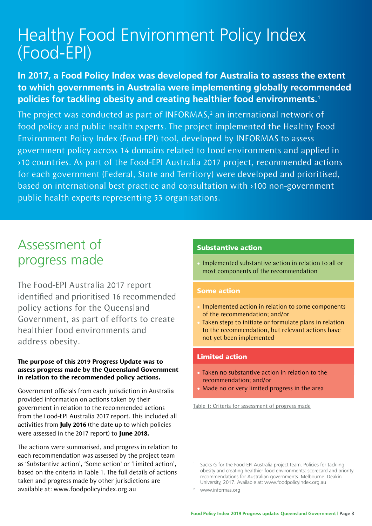# Healthy Food Environment Policy Index (Food-EPI)

### **In 2017, a Food Policy Index was developed for Australia to assess the extent to which governments in Australia were implementing globally recommended policies for tackling obesity and creating healthier food environments.1**

The project was conducted as part of INFORMAS, $<sup>2</sup>$  an international network of</sup> food policy and public health experts. The project implemented the Healthy Food Environment Policy Index (Food-EPI) tool, developed by INFORMAS to assess government policy across 14 domains related to food environments and applied in >10 countries. As part of the Food-EPI Australia 2017 project, recommended actions for each government (Federal, State and Territory) were developed and prioritised, based on international best practice and consultation with >100 non-government public health experts representing 53 organisations.

# Assessment of progress made

The Food-EPI Australia 2017 report identified and prioritised 16 recommended policy actions for the Queensland Government, as part of efforts to create healthier food environments and address obesity.

#### **The purpose of this 2019 Progress Update was to assess progress made by the Queensland Government in relation to the recommended policy actions.**

Government officials from each jurisdiction in Australia provided information on actions taken by their government in relation to the recommended actions from the Food-EPI Australia 2017 report. This included all activities from **July 2016** (the date up to which policies were assessed in the 2017 report) to **June 2018.**

The actions were summarised, and progress in relation to each recommendation was assessed by the project team as 'Substantive action', 'Some action' or 'Limited action', based on the criteria in Table 1. The full details of actions taken and progress made by other jurisdictions are available at: www.foodpolicyindex.org.au

#### Substantive action

• Implemented substantive action in relation to all or most components of the recommendation

#### Some action

- Implemented action in relation to some components of the recommendation; and/or
- Taken steps to initiate or formulate plans in relation to the recommendation, but relevant actions have not yet been implemented

#### Limited action

- Taken no substantive action in relation to the recommendation; and/or
- Made no or very limited progress in the area

Table 1: Criteria for assessment of progress made

- Sacks G for the Food-EPI Australia project team. Policies for tackling obesity and creating healthier food environments: scorecard and priority recommendations for Australian governments. Melbourne: Deakin University, 2017. Available at: www.foodpolicyindex.org.au
- <sup>2</sup> www.informas.org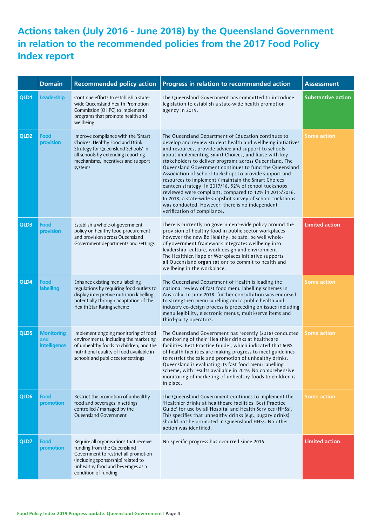## **Actions taken (July 2016 - June 2018) by the Queensland Government in relation to the recommended policies from the 2017 Food Policy Index report**

|                  | <b>Domain</b>                            | <b>Recommended policy action</b>                                                                                                                                                                                 | Progress in relation to recommended action                                                                                                                                                                                                                                                                                                                                                                                                                                                                                                                                                                                                                                                                                                  | <b>Assessment</b>         |
|------------------|------------------------------------------|------------------------------------------------------------------------------------------------------------------------------------------------------------------------------------------------------------------|---------------------------------------------------------------------------------------------------------------------------------------------------------------------------------------------------------------------------------------------------------------------------------------------------------------------------------------------------------------------------------------------------------------------------------------------------------------------------------------------------------------------------------------------------------------------------------------------------------------------------------------------------------------------------------------------------------------------------------------------|---------------------------|
| QLD1             | <b>Leadership</b>                        | Continue efforts to establish a state-<br>wide Queensland Health Promotion<br>Commission (QHPC) to implement<br>programs that promote health and<br>wellbeing                                                    | The Oueensland Government has committed to introduce<br>legislation to establish a state-wide health promotion<br>agency in 2019.                                                                                                                                                                                                                                                                                                                                                                                                                                                                                                                                                                                                           | <b>Substantive action</b> |
| QLD <sub>2</sub> | Food<br>provision                        | Improve compliance with the 'Smart<br>Choices: Healthy Food and Drink<br>Strategy for Queensland Schools' in<br>all schools by extending reporting<br>mechanisms, incentives and support<br>systems              | The Queensland Department of Education continues to<br>develop and review student health and wellbeing initiatives<br>and resources, provide advice and support to schools<br>about implementing Smart Choices, and liaise with key<br>stakeholders to deliver programs across Queensland. The<br>Queensland Government continues to fund the Queensland<br>Association of School Tuckshops to provide support and<br>resources to implement / maintain the Smart Choices<br>canteen strategy. In 2017/18, 52% of school tuckshops<br>reviewed were compliant, compared to 12% in 2015/2016.<br>In 2018, a state-wide snapshot survey of school tuckshops<br>was conducted. However, there is no independent<br>verification of compliance. | Some action               |
| QLD3             | Food<br>provision                        | Establish a whole-of-government<br>policy on healthy food procurement<br>and provision across Queensland<br>Government departments and settings                                                                  | There is currently no government-wide policy around the<br>provision of healthy food in public sector workplaces<br>however the new Be Healthy, be safe, be well whole-<br>of government framework integrates wellbeing into<br>leadership, culture, work design and environment.<br>The Healthier. Happier. Workplaces initiative supports<br>all Queensland organisations to commit to health and<br>wellbeing in the workplace.                                                                                                                                                                                                                                                                                                          | <b>Limited action</b>     |
| QLD4             | Food<br>labelling                        | Enhance existing menu labelling<br>regulations by requiring food outlets to<br>display interpretive nutrition labelling,<br>potentially through adaptation of the<br>Health Star Rating scheme                   | The Queensland Department of Health is leading the<br>national review of fast food menu labelling schemes in<br>Australia. In June 2018, further consultation was endorsed<br>to strengthen menu labelling and a public health and<br>industry co-design process is proceeding on issues including<br>menu legibility, electronic menus, multi-serve items and<br>third-party operators.                                                                                                                                                                                                                                                                                                                                                    | <b>Some action</b>        |
| QLD5             | <b>Monitoring</b><br>and<br>intelligence | Implement ongoing monitoring of food<br>environments, including the marketing<br>of unhealthy foods to children, and the<br>nutritional quality of food available in<br>schools and public sector settings       | The Queensland Government has recently (2018) conducted<br>monitoring of their 'Healthier drinks at healthcare<br>facilities: Best Practice Guide', which indicated that 60%<br>of health facilities are making progress to meet guidelines<br>to restrict the sale and promotion of unhealthy drinks.<br>Queensland is evaluating its fast food menu labelling<br>scheme, with results available in 2019. No comprehensive<br>monitoring of marketing of unhealthy foods to children is<br>in place.                                                                                                                                                                                                                                       | <b>Some action</b>        |
| QLD6             | Food<br>promotion                        | Restrict the promotion of unhealthy<br>food and beverages in settings<br>controlled / managed by the<br><b>Oueensland Government</b>                                                                             | The Queensland Government continues to implement the<br>'Healthier drinks at healthcare facilities: Best Practice<br>Guide' for use by all Hospital and Health Services (HHSs).<br>This specifies that unhealthy drinks (e.g., sugary drinks)<br>should not be promoted in Queensland HHSs. No other<br>action was identified.                                                                                                                                                                                                                                                                                                                                                                                                              | <b>Some action</b>        |
| QLD7             | Food<br>promotion                        | Require all organisations that receive<br>funding from the Queensland<br>Government to restrict all promotion<br>(including sponsorship) related to<br>unhealthy food and beverages as a<br>condition of funding | No specific progress has occurred since 2016.                                                                                                                                                                                                                                                                                                                                                                                                                                                                                                                                                                                                                                                                                               | <b>Limited action</b>     |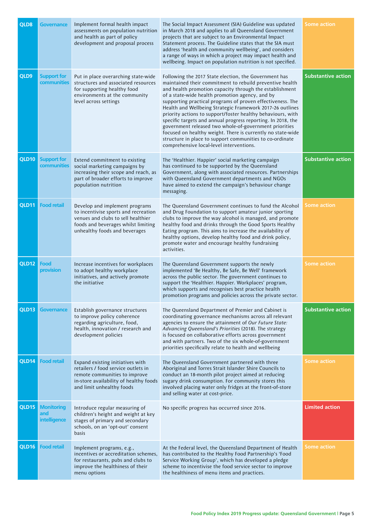| QLD8  | <b>Governance</b>                        | Implement formal health impact<br>assessments on population nutrition<br>and health as part of policy<br>development and proposal process                                            | The Social Impact Assessment (SIA) Guideline was updated<br>in March 2018 and applies to all Queensland Government<br>projects that are subject to an Environmental Impact<br>Statement process. The Guideline states that the SIA must<br>address 'health and community wellbeing', and considers<br>a range of ways in which a project may impact health and<br>wellbeing. Impact on population nutrition is not specified.                                                                                                                                                                                                                                                                                              | <b>Some action</b>        |
|-------|------------------------------------------|--------------------------------------------------------------------------------------------------------------------------------------------------------------------------------------|----------------------------------------------------------------------------------------------------------------------------------------------------------------------------------------------------------------------------------------------------------------------------------------------------------------------------------------------------------------------------------------------------------------------------------------------------------------------------------------------------------------------------------------------------------------------------------------------------------------------------------------------------------------------------------------------------------------------------|---------------------------|
| QLD9  | <b>Support for</b><br>communities        | Put in place overarching state-wide<br>structures and associated resources<br>for supporting healthy food<br>environments at the community<br>level across settings                  | Following the 2017 State election, the Government has<br>maintained their commitment to rebuild preventive health<br>and health promotion capacity through the establishment<br>of a state-wide health promotion agency, and by<br>supporting practical programs of proven effectiveness. The<br>Health and Wellbeing Strategic Framework 2017-26 outlines<br>priority actions to support/foster healthy behaviours, with<br>specific targets and annual progress reporting. In 2018, the<br>government released two whole-of-government priorities<br>focused on healthy weight. There is currently no state-wide<br>structure in place to support communities to co-ordinate<br>comprehensive local-level interventions. | <b>Substantive action</b> |
| QLD10 | <b>Support for</b><br>communities        | Extend commitment to existing<br>social marketing campaigns by<br>increasing their scope and reach, as<br>part of broader efforts to improve<br>population nutrition                 | The 'Healthier. Happier' social marketing campaign<br>has continued to be supported by the Queensland<br>Government, along with associated resources. Partnerships<br>with Queensland Government departments and NGOs<br>have aimed to extend the campaign's behaviour change<br>messaging.                                                                                                                                                                                                                                                                                                                                                                                                                                | <b>Substantive action</b> |
| QLD11 | <b>Food retail</b>                       | Develop and implement programs<br>to incentivise sports and recreation<br>venues and clubs to sell healthier<br>foods and beverages whilst limiting<br>unhealthy foods and beverages | The Queensland Government continues to fund the Alcohol<br>and Drug Foundation to support amateur junior sporting<br>clubs to improve the way alcohol is managed, and promote<br>healthy food and drinks through the Good Sports Healthy<br>Eating program. This aims to increase the availability of<br>healthy options, develop healthy food and drink policy,<br>promote water and encourage healthy fundraising<br>activities.                                                                                                                                                                                                                                                                                         | <b>Some action</b>        |
| QLD12 | Food<br>provision                        | Increase incentives for workplaces<br>to adopt healthy workplace<br>initiatives, and actively promote<br>the initiative                                                              | The Queensland Government supports the newly<br>implemented 'Be Healthy, Be Safe, Be Well' framework<br>across the public sector. The government continues to<br>support the 'Healthier. Happier. Workplaces' program,<br>which supports and recognises best practice health<br>promotion programs and policies across the private sector.                                                                                                                                                                                                                                                                                                                                                                                 | <b>Some action</b>        |
| QLD13 | Governance                               | Establish governance structures<br>to improve policy coherence<br>regarding agriculture, food,<br>health, innovation / research and<br>development policies                          | The Queensland Department of Premier and Cabinet is<br>coordinating governance mechanisms across all relevant<br>agencies to ensure the attainment of Our Future State:<br>Advancing Queensland's Priorities (2018). The strategy<br>is focused on collaborative efforts across government<br>and with partners. Two of the six whole-of-government<br>priorities specifically relate to health and wellbeing                                                                                                                                                                                                                                                                                                              | <b>Substantive action</b> |
| QLD14 | <b>Food retail</b>                       | Expand existing initiatives with<br>retailers / food service outlets in<br>remote communities to improve<br>in-store availability of healthy foods<br>and limit unhealthy foods      | The Queensland Government partnered with three<br>Aboriginal and Torres Strait Islander Shire Councils to<br>conduct an 18-month pilot project aimed at reducing<br>sugary drink consumption. For community stores this<br>involved placing water only fridges at the front-of-store<br>and selling water at cost-price.                                                                                                                                                                                                                                                                                                                                                                                                   | <b>Some action</b>        |
| QLD15 | <b>Monitoring</b><br>and<br>intelligence | Introduce regular measuring of<br>children's height and weight at key<br>stages of primary and secondary<br>schools, on an 'opt-out' consent<br>basis                                | No specific progress has occurred since 2016.                                                                                                                                                                                                                                                                                                                                                                                                                                                                                                                                                                                                                                                                              | <b>Limited action</b>     |
| QLD16 | <b>Food retail</b>                       | Implement programs, e.g.,<br>incentives or accreditation schemes,<br>for restaurants, pubs and clubs to<br>improve the healthiness of their<br>menu options                          | At the Federal level, the Queensland Department of Health<br>has contributed to the Healthy Food Partnership's 'Food<br>Service Working Group', which has developed a pledge<br>scheme to incentivise the food service sector to improve<br>the healthiness of menu items and practices.                                                                                                                                                                                                                                                                                                                                                                                                                                   | <b>Some action</b>        |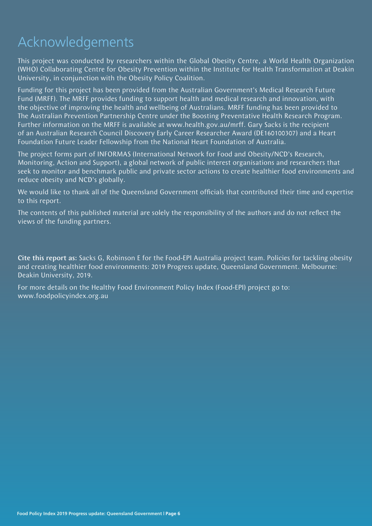# Acknowledgements

This project was conducted by researchers within the Global Obesity Centre, a World Health Organization (WHO) Collaborating Centre for Obesity Prevention within the Institute for Health Transformation at Deakin University, in conjunction with the Obesity Policy Coalition.

Funding for this project has been provided from the Australian Government's Medical Research Future Fund (MRFF). The MRFF provides funding to support health and medical research and innovation, with the objective of improving the health and wellbeing of Australians. MRFF funding has been provided to The Australian Prevention Partnership Centre under the Boosting Preventative Health Research Program. Further information on the MRFF is available at www.health.gov.au/mrff. Gary Sacks is the recipient of an Australian Research Council Discovery Early Career Researcher Award (DE160100307) and a Heart Foundation Future Leader Fellowship from the National Heart Foundation of Australia.

The project forms part of INFORMAS (International Network for Food and Obesity/NCD's Research, Monitoring, Action and Support), a global network of public interest organisations and researchers that seek to monitor and benchmark public and private sector actions to create healthier food environments and reduce obesity and NCD's globally.

We would like to thank all of the Queensland Government officials that contributed their time and expertise to this report.

The contents of this published material are solely the responsibility of the authors and do not reflect the views of the funding partners.

Cite this report as: Sacks G, Robinson E for the Food-EPI Australia project team. Policies for tackling obesity and creating healthier food environments: 2019 Progress update, Queensland Government. Melbourne: Deakin University, 2019.

For more details on the Healthy Food Environment Policy Index (Food-EPI) project go to: www.foodpolicyindex.org.au